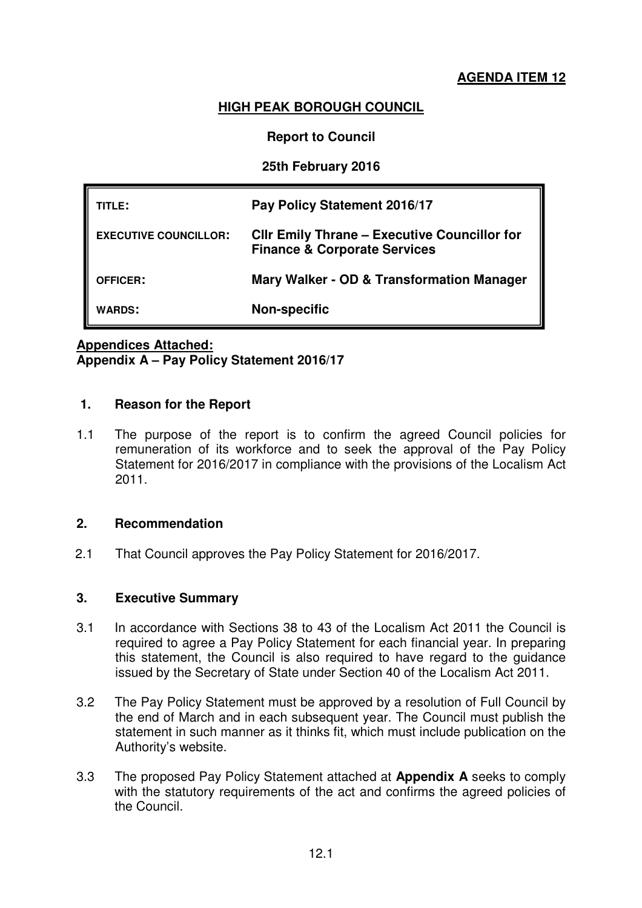# **AGENDA ITEM 12**

# **HIGH PEAK BOROUGH COUNCIL**

# **Report to Council**

# **25th February 2016**

| TITLE:                       | Pay Policy Statement 2016/17                                                                   |
|------------------------------|------------------------------------------------------------------------------------------------|
| <b>EXECUTIVE COUNCILLOR:</b> | <b>CIIr Emily Thrane – Executive Councillor for</b><br><b>Finance &amp; Corporate Services</b> |
| <b>OFFICER:</b>              | Mary Walker - OD & Transformation Manager                                                      |
| <b>WARDS:</b>                | <b>Non-specific</b>                                                                            |

# **Appendices Attached: Appendix A – Pay Policy Statement 2016/17**

### **1. Reason for the Report**

1.1 The purpose of the report is to confirm the agreed Council policies for remuneration of its workforce and to seek the approval of the Pay Policy Statement for 2016/2017 in compliance with the provisions of the Localism Act 2011.

#### **2. Recommendation**

2.1 That Council approves the Pay Policy Statement for 2016/2017.

### **3. Executive Summary**

- 3.1 In accordance with Sections 38 to 43 of the Localism Act 2011 the Council is required to agree a Pay Policy Statement for each financial year. In preparing this statement, the Council is also required to have regard to the guidance issued by the Secretary of State under Section 40 of the Localism Act 2011.
- 3.2 The Pay Policy Statement must be approved by a resolution of Full Council by the end of March and in each subsequent year. The Council must publish the statement in such manner as it thinks fit, which must include publication on the Authority's website.
- 3.3 The proposed Pay Policy Statement attached at **Appendix A** seeks to comply with the statutory requirements of the act and confirms the agreed policies of the Council.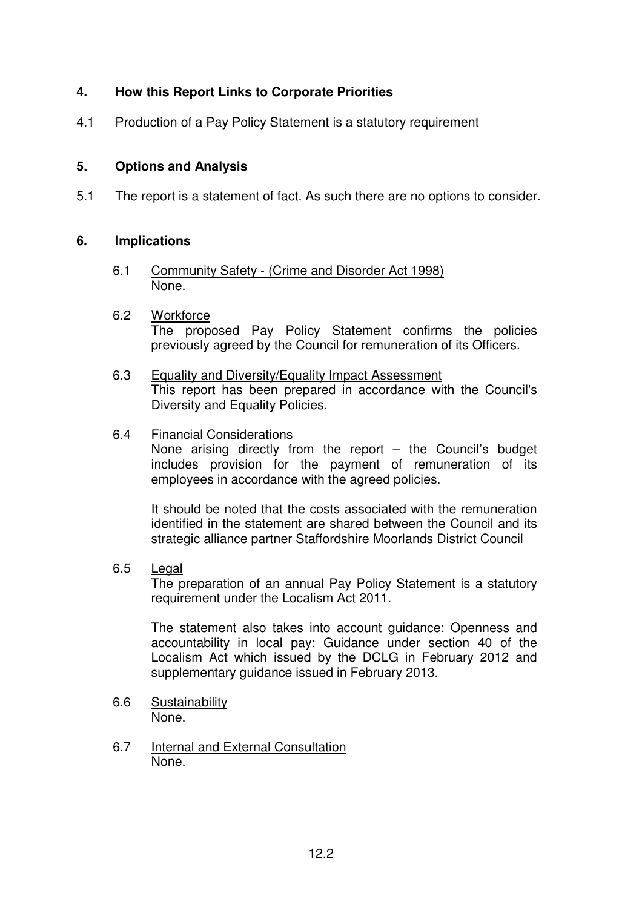# **4. How this Report Links to Corporate Priorities**

4.1 Production of a Pay Policy Statement is a statutory requirement

# **5. Options and Analysis**

5.1 The report is a statement of fact. As such there are no options to consider.

### **6. Implications**

6.1 Community Safety - (Crime and Disorder Act 1998) None.

### 6.2 Workforce

The proposed Pay Policy Statement confirms the policies previously agreed by the Council for remuneration of its Officers.

- 6.3 Equality and Diversity/Equality Impact Assessment This report has been prepared in accordance with the Council's Diversity and Equality Policies.
- 6.4 Financial Considerations

None arising directly from the report  $-$  the Council's budget includes provision for the payment of remuneration of its employees in accordance with the agreed policies.

It should be noted that the costs associated with the remuneration identified in the statement are shared between the Council and its strategic alliance partner Staffordshire Moorlands District Council

6.5 Legal

The preparation of an annual Pay Policy Statement is a statutory requirement under the Localism Act 2011.

The statement also takes into account guidance: Openness and accountability in local pay: Guidance under section 40 of the Localism Act which issued by the DCLG in February 2012 and supplementary guidance issued in February 2013.

- 6.6 Sustainability None.
- 6.7 Internal and External Consultation None.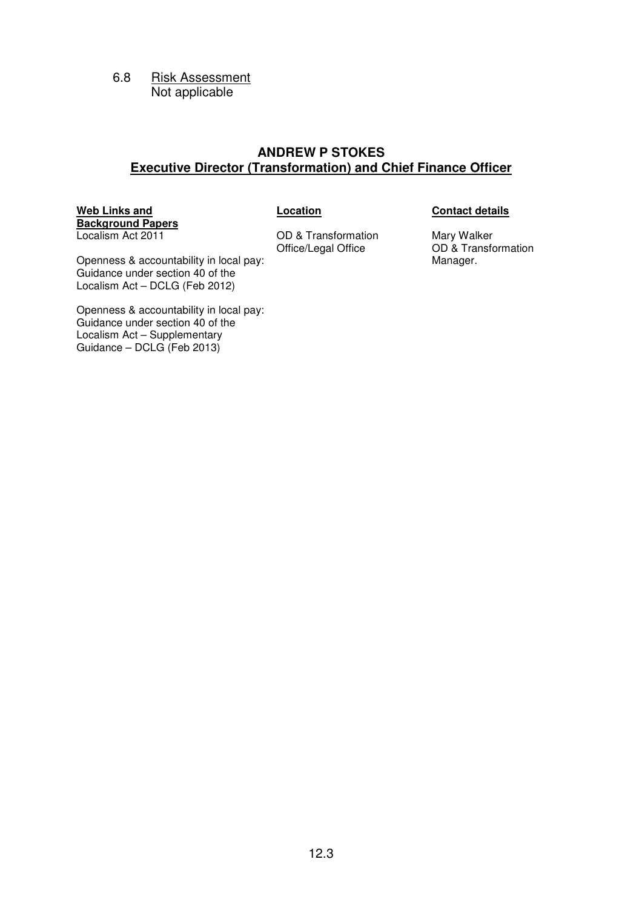6.8 Risk Assessment Not applicable

# **ANDREW P STOKES Executive Director (Transformation) and Chief Finance Officer**

#### **Web Links and Background Papers** Localism Act 2011

OD & Transformation Office/Legal Office

#### **Location Contact details**

Mary Walker OD & Transformation Manager.

Openness & accountability in local pay: Guidance under section 40 of the Localism Act – DCLG (Feb 2012)

Openness & accountability in local pay: Guidance under section 40 of the Localism Act – Supplementary Guidance – DCLG (Feb 2013)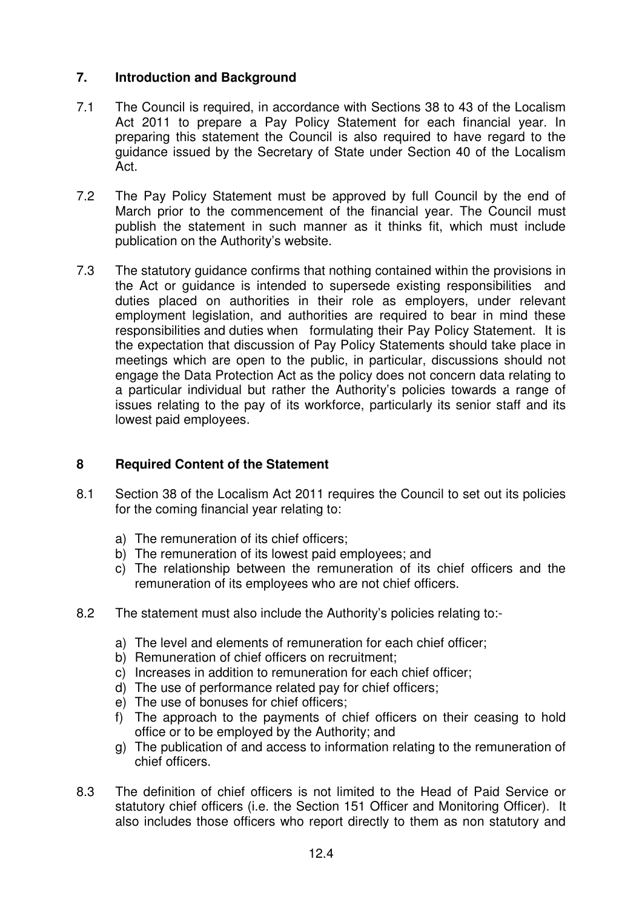# **7. Introduction and Background**

- 7.1 The Council is required, in accordance with Sections 38 to 43 of the Localism Act 2011 to prepare a Pay Policy Statement for each financial year. In preparing this statement the Council is also required to have regard to the guidance issued by the Secretary of State under Section 40 of the Localism Act.
- 7.2 The Pay Policy Statement must be approved by full Council by the end of March prior to the commencement of the financial year. The Council must publish the statement in such manner as it thinks fit, which must include publication on the Authority's website.
- 7.3 The statutory guidance confirms that nothing contained within the provisions in the Act or guidance is intended to supersede existing responsibilities and duties placed on authorities in their role as employers, under relevant employment legislation, and authorities are required to bear in mind these responsibilities and duties when formulating their Pay Policy Statement. It is the expectation that discussion of Pay Policy Statements should take place in meetings which are open to the public, in particular, discussions should not engage the Data Protection Act as the policy does not concern data relating to a particular individual but rather the Authority's policies towards a range of issues relating to the pay of its workforce, particularly its senior staff and its lowest paid employees.

# **8 Required Content of the Statement**

- 8.1 Section 38 of the Localism Act 2011 requires the Council to set out its policies for the coming financial year relating to:
	- a) The remuneration of its chief officers;
	- b) The remuneration of its lowest paid employees; and
	- c) The relationship between the remuneration of its chief officers and the remuneration of its employees who are not chief officers.
- 8.2 The statement must also include the Authority's policies relating to:
	- a) The level and elements of remuneration for each chief officer;
	- b) Remuneration of chief officers on recruitment;
	- c) Increases in addition to remuneration for each chief officer;
	- d) The use of performance related pay for chief officers;
	- e) The use of bonuses for chief officers;
	- f) The approach to the payments of chief officers on their ceasing to hold office or to be employed by the Authority; and
	- g) The publication of and access to information relating to the remuneration of chief officers.
- 8.3 The definition of chief officers is not limited to the Head of Paid Service or statutory chief officers (i.e. the Section 151 Officer and Monitoring Officer). It also includes those officers who report directly to them as non statutory and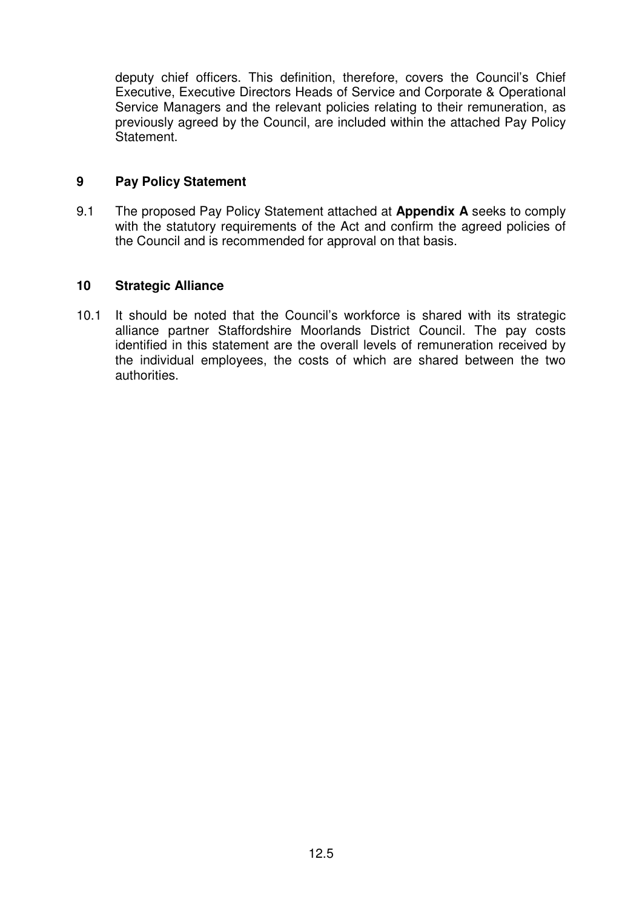deputy chief officers. This definition, therefore, covers the Council's Chief Executive, Executive Directors Heads of Service and Corporate & Operational Service Managers and the relevant policies relating to their remuneration, as previously agreed by the Council, are included within the attached Pay Policy Statement.

# **9 Pay Policy Statement**

9.1 The proposed Pay Policy Statement attached at **Appendix A** seeks to comply with the statutory requirements of the Act and confirm the agreed policies of the Council and is recommended for approval on that basis.

# **10 Strategic Alliance**

10.1 It should be noted that the Council's workforce is shared with its strategic alliance partner Staffordshire Moorlands District Council. The pay costs identified in this statement are the overall levels of remuneration received by the individual employees, the costs of which are shared between the two authorities.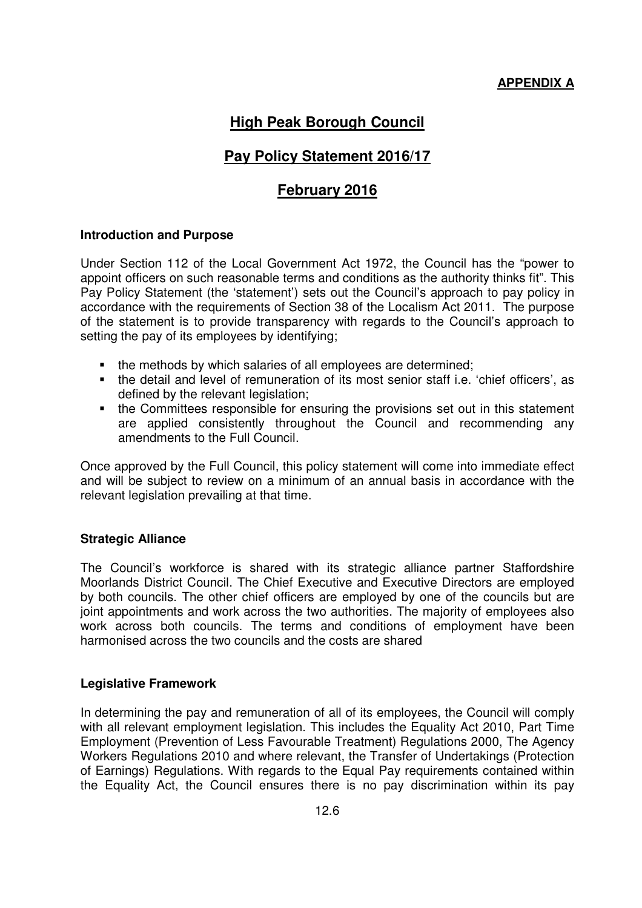# **High Peak Borough Council**

# **Pay Policy Statement 2016/17**

# **February 2016**

### **Introduction and Purpose**

Under Section 112 of the Local Government Act 1972, the Council has the "power to appoint officers on such reasonable terms and conditions as the authority thinks fit". This Pay Policy Statement (the 'statement') sets out the Council's approach to pay policy in accordance with the requirements of Section 38 of the Localism Act 2011. The purpose of the statement is to provide transparency with regards to the Council's approach to setting the pay of its employees by identifying;

- the methods by which salaries of all employees are determined;
- the detail and level of remuneration of its most senior staff i.e. 'chief officers', as defined by the relevant legislation;
- the Committees responsible for ensuring the provisions set out in this statement are applied consistently throughout the Council and recommending any amendments to the Full Council.

Once approved by the Full Council, this policy statement will come into immediate effect and will be subject to review on a minimum of an annual basis in accordance with the relevant legislation prevailing at that time.

#### **Strategic Alliance**

The Council's workforce is shared with its strategic alliance partner Staffordshire Moorlands District Council. The Chief Executive and Executive Directors are employed by both councils. The other chief officers are employed by one of the councils but are joint appointments and work across the two authorities. The majority of employees also work across both councils. The terms and conditions of employment have been harmonised across the two councils and the costs are shared

#### **Legislative Framework**

In determining the pay and remuneration of all of its employees, the Council will comply with all relevant employment legislation. This includes the Equality Act 2010, Part Time Employment (Prevention of Less Favourable Treatment) Regulations 2000, The Agency Workers Regulations 2010 and where relevant, the Transfer of Undertakings (Protection of Earnings) Regulations. With regards to the Equal Pay requirements contained within the Equality Act, the Council ensures there is no pay discrimination within its pay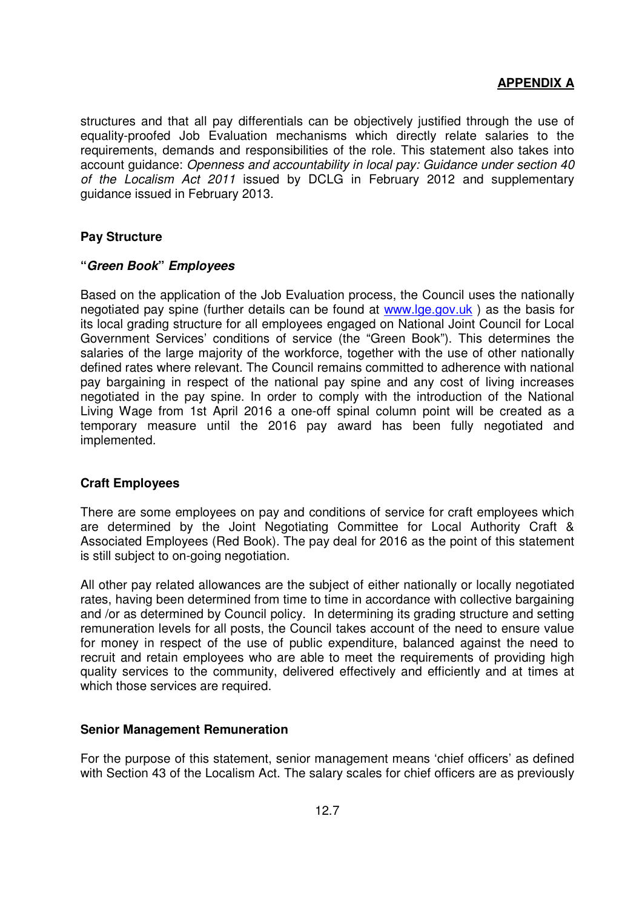structures and that all pay differentials can be objectively justified through the use of equality-proofed Job Evaluation mechanisms which directly relate salaries to the requirements, demands and responsibilities of the role. This statement also takes into account guidance: Openness and accountability in local pay: Guidance under section 40 of the Localism Act 2011 issued by DCLG in February 2012 and supplementary guidance issued in February 2013.

### **Pay Structure**

#### **"Green Book" Employees**

Based on the application of the Job Evaluation process, the Council uses the nationally negotiated pay spine (further details can be found at www.lge.gov.uk ) as the basis for its local grading structure for all employees engaged on National Joint Council for Local Government Services' conditions of service (the "Green Book"). This determines the salaries of the large majority of the workforce, together with the use of other nationally defined rates where relevant. The Council remains committed to adherence with national pay bargaining in respect of the national pay spine and any cost of living increases negotiated in the pay spine. In order to comply with the introduction of the National Living Wage from 1st April 2016 a one-off spinal column point will be created as a temporary measure until the 2016 pay award has been fully negotiated and implemented.

### **Craft Employees**

There are some employees on pay and conditions of service for craft employees which are determined by the Joint Negotiating Committee for Local Authority Craft & Associated Employees (Red Book). The pay deal for 2016 as the point of this statement is still subject to on-going negotiation.

All other pay related allowances are the subject of either nationally or locally negotiated rates, having been determined from time to time in accordance with collective bargaining and /or as determined by Council policy. In determining its grading structure and setting remuneration levels for all posts, the Council takes account of the need to ensure value for money in respect of the use of public expenditure, balanced against the need to recruit and retain employees who are able to meet the requirements of providing high quality services to the community, delivered effectively and efficiently and at times at which those services are required.

#### **Senior Management Remuneration**

For the purpose of this statement, senior management means 'chief officers' as defined with Section 43 of the Localism Act. The salary scales for chief officers are as previously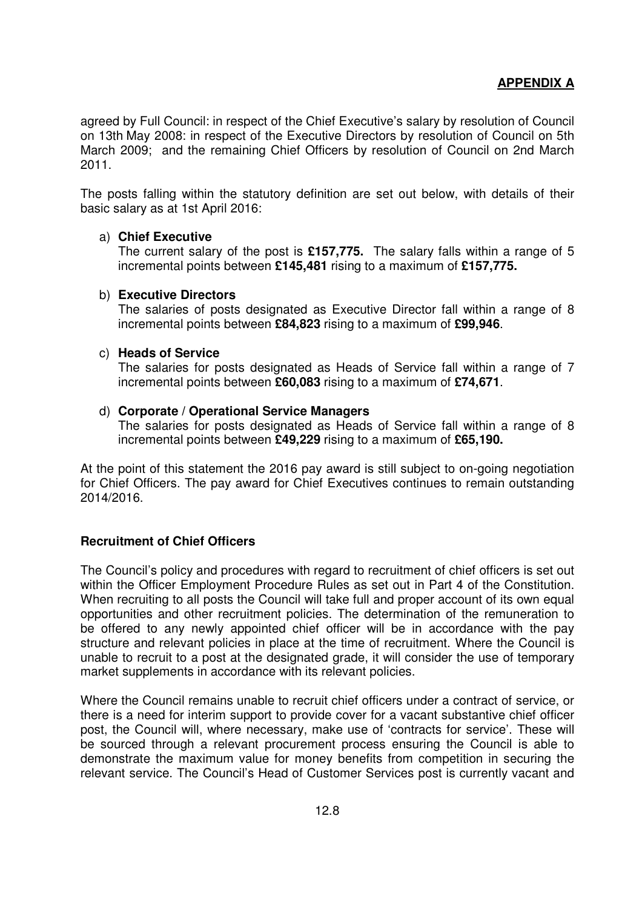agreed by Full Council: in respect of the Chief Executive's salary by resolution of Council on 13th May 2008: in respect of the Executive Directors by resolution of Council on 5th March 2009; and the remaining Chief Officers by resolution of Council on 2nd March 2011.

The posts falling within the statutory definition are set out below, with details of their basic salary as at 1st April 2016:

#### a) **Chief Executive**

The current salary of the post is **£157,775.** The salary falls within a range of 5 incremental points between **£145,481** rising to a maximum of **£157,775.**

#### b) **Executive Directors**

The salaries of posts designated as Executive Director fall within a range of 8 incremental points between **£84,823** rising to a maximum of **£99,946**.

### c) **Heads of Service**

 The salaries for posts designated as Heads of Service fall within a range of 7 incremental points between **£60,083** rising to a maximum of **£74,671**.

### d) **Corporate / Operational Service Managers**

 The salaries for posts designated as Heads of Service fall within a range of 8 incremental points between **£49,229** rising to a maximum of **£65,190.**

At the point of this statement the 2016 pay award is still subject to on-going negotiation for Chief Officers. The pay award for Chief Executives continues to remain outstanding 2014/2016.

### **Recruitment of Chief Officers**

The Council's policy and procedures with regard to recruitment of chief officers is set out within the Officer Employment Procedure Rules as set out in Part 4 of the Constitution. When recruiting to all posts the Council will take full and proper account of its own equal opportunities and other recruitment policies. The determination of the remuneration to be offered to any newly appointed chief officer will be in accordance with the pay structure and relevant policies in place at the time of recruitment. Where the Council is unable to recruit to a post at the designated grade, it will consider the use of temporary market supplements in accordance with its relevant policies.

Where the Council remains unable to recruit chief officers under a contract of service, or there is a need for interim support to provide cover for a vacant substantive chief officer post, the Council will, where necessary, make use of 'contracts for service'. These will be sourced through a relevant procurement process ensuring the Council is able to demonstrate the maximum value for money benefits from competition in securing the relevant service. The Council's Head of Customer Services post is currently vacant and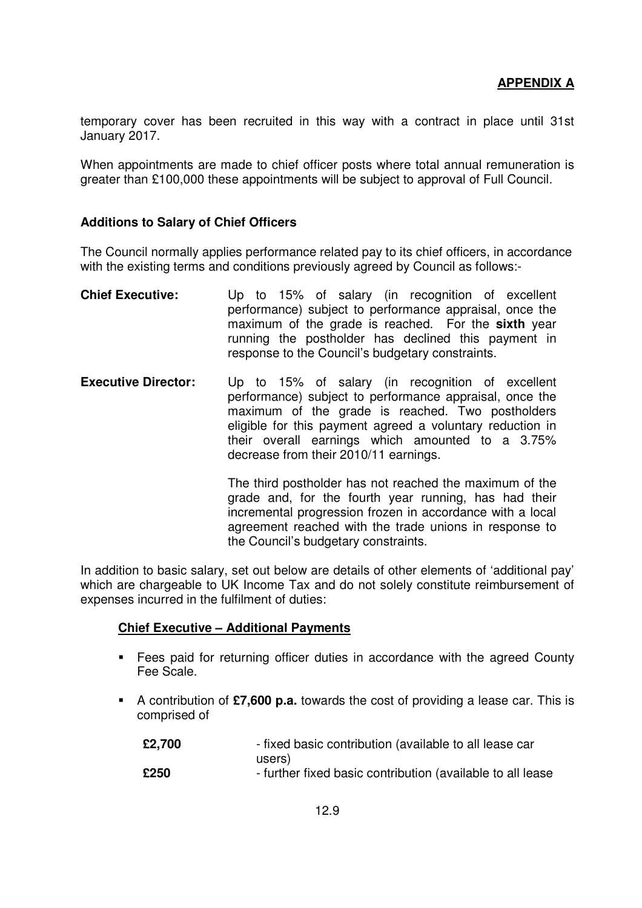temporary cover has been recruited in this way with a contract in place until 31st January 2017.

When appointments are made to chief officer posts where total annual remuneration is greater than £100,000 these appointments will be subject to approval of Full Council.

### **Additions to Salary of Chief Officers**

The Council normally applies performance related pay to its chief officers, in accordance with the existing terms and conditions previously agreed by Council as follows:-

- **Chief Executive:** Up to 15% of salary (in recognition of excellent performance) subject to performance appraisal, once the maximum of the grade is reached. For the **sixth** year running the postholder has declined this payment in response to the Council's budgetary constraints.
- **Executive Director:** Up to 15% of salary (in recognition of excellent performance) subject to performance appraisal, once the maximum of the grade is reached. Two postholders eligible for this payment agreed a voluntary reduction in their overall earnings which amounted to a 3.75% decrease from their 2010/11 earnings.

The third postholder has not reached the maximum of the grade and, for the fourth year running, has had their incremental progression frozen in accordance with a local agreement reached with the trade unions in response to the Council's budgetary constraints.

In addition to basic salary, set out below are details of other elements of 'additional pay' which are chargeable to UK Income Tax and do not solely constitute reimbursement of expenses incurred in the fulfilment of duties:

#### **Chief Executive – Additional Payments**

- Fees paid for returning officer duties in accordance with the agreed County Fee Scale.
- A contribution of **£7,600 p.a.** towards the cost of providing a lease car. This is comprised of

| £2,700 | - fixed basic contribution (available to all lease car     |
|--------|------------------------------------------------------------|
|        | users)                                                     |
| £250   | - further fixed basic contribution (available to all lease |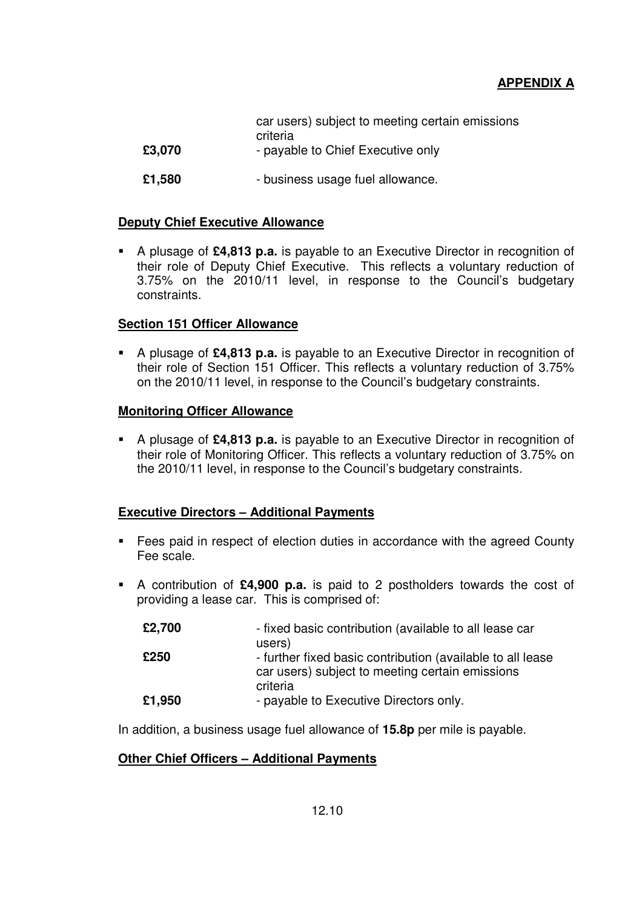car users) subject to meeting certain emissions criteria **£3,070** - payable to Chief Executive only

**£1,580** - business usage fuel allowance.

### **Deputy Chief Executive Allowance**

 A plusage of **£4,813 p.a.** is payable to an Executive Director in recognition of their role of Deputy Chief Executive. This reflects a voluntary reduction of 3.75% on the 2010/11 level, in response to the Council's budgetary constraints.

### **Section 151 Officer Allowance**

 A plusage of **£4,813 p.a.** is payable to an Executive Director in recognition of their role of Section 151 Officer. This reflects a voluntary reduction of 3.75% on the 2010/11 level, in response to the Council's budgetary constraints.

### **Monitoring Officer Allowance**

 A plusage of **£4,813 p.a.** is payable to an Executive Director in recognition of their role of Monitoring Officer. This reflects a voluntary reduction of 3.75% on the 2010/11 level, in response to the Council's budgetary constraints.

### **Executive Directors – Additional Payments**

- Fees paid in respect of election duties in accordance with the agreed County Fee scale.
- A contribution of **£4,900 p.a.** is paid to 2 postholders towards the cost of providing a lease car. This is comprised of:

| £2,700 | - fixed basic contribution (available to all lease car                                                                    |
|--------|---------------------------------------------------------------------------------------------------------------------------|
|        | users)                                                                                                                    |
| £250   | - further fixed basic contribution (available to all lease<br>car users) subject to meeting certain emissions<br>criteria |
| £1,950 | - payable to Executive Directors only.                                                                                    |

In addition, a business usage fuel allowance of **15.8p** per mile is payable.

### **Other Chief Officers – Additional Payments**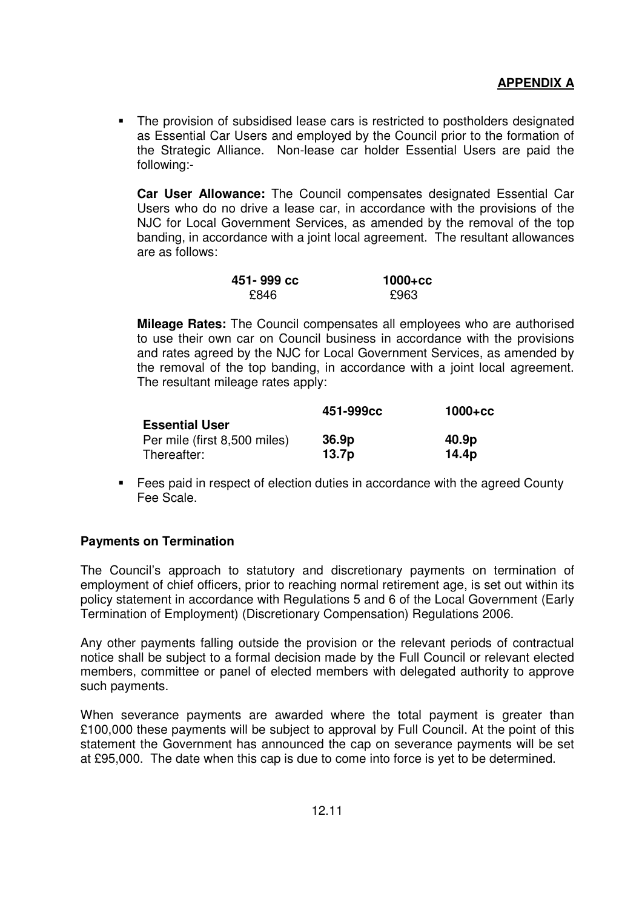The provision of subsidised lease cars is restricted to postholders designated as Essential Car Users and employed by the Council prior to the formation of the Strategic Alliance. Non-lease car holder Essential Users are paid the following:-

**Car User Allowance:** The Council compensates designated Essential Car Users who do no drive a lease car, in accordance with the provisions of the NJC for Local Government Services, as amended by the removal of the top banding, in accordance with a joint local agreement. The resultant allowances are as follows:

| 451-999 cc | $1000 + cc$ |
|------------|-------------|
| £846       | £963        |

**Mileage Rates:** The Council compensates all employees who are authorised to use their own car on Council business in accordance with the provisions and rates agreed by the NJC for Local Government Services, as amended by the removal of the top banding, in accordance with a joint local agreement. The resultant mileage rates apply:

|                              | 451-999cc | $1000 + cc$ |
|------------------------------|-----------|-------------|
| <b>Essential User</b>        |           |             |
| Per mile (first 8,500 miles) | 36.9p     | 40.9p       |
| Thereafter:                  | 13.7p     | 14.4p       |

 Fees paid in respect of election duties in accordance with the agreed County Fee Scale.

# **Payments on Termination**

The Council's approach to statutory and discretionary payments on termination of employment of chief officers, prior to reaching normal retirement age, is set out within its policy statement in accordance with Regulations 5 and 6 of the Local Government (Early Termination of Employment) (Discretionary Compensation) Regulations 2006.

Any other payments falling outside the provision or the relevant periods of contractual notice shall be subject to a formal decision made by the Full Council or relevant elected members, committee or panel of elected members with delegated authority to approve such payments.

When severance payments are awarded where the total payment is greater than £100,000 these payments will be subject to approval by Full Council. At the point of this statement the Government has announced the cap on severance payments will be set at £95,000. The date when this cap is due to come into force is yet to be determined.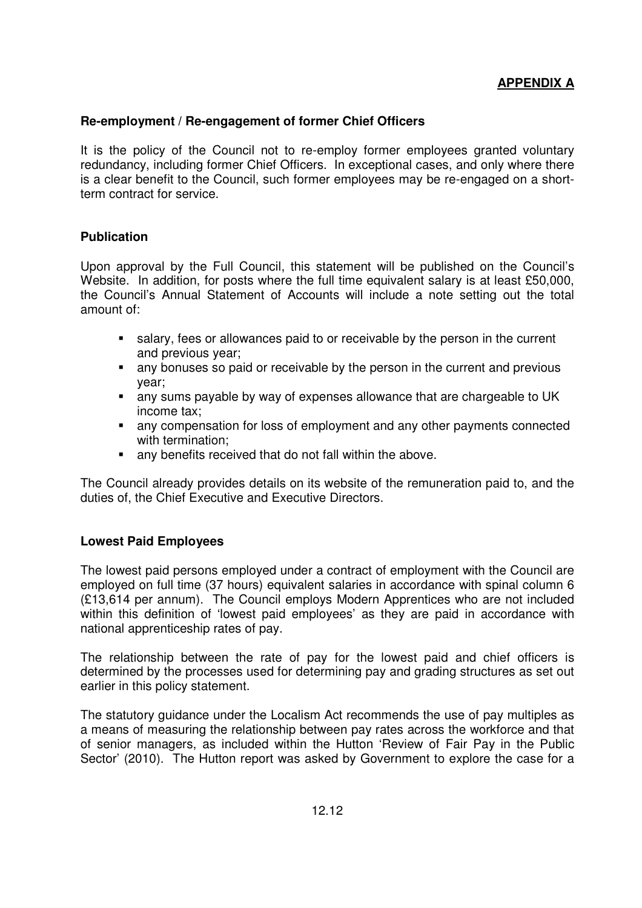### **Re-employment / Re-engagement of former Chief Officers**

It is the policy of the Council not to re-employ former employees granted voluntary redundancy, including former Chief Officers. In exceptional cases, and only where there is a clear benefit to the Council, such former employees may be re-engaged on a shortterm contract for service.

### **Publication**

Upon approval by the Full Council, this statement will be published on the Council's Website. In addition, for posts where the full time equivalent salary is at least £50,000, the Council's Annual Statement of Accounts will include a note setting out the total amount of:

- salary, fees or allowances paid to or receivable by the person in the current and previous year;
- any bonuses so paid or receivable by the person in the current and previous year;
- any sums payable by way of expenses allowance that are chargeable to UK income tax;
- any compensation for loss of employment and any other payments connected with termination;
- any benefits received that do not fall within the above.

The Council already provides details on its website of the remuneration paid to, and the duties of, the Chief Executive and Executive Directors.

### **Lowest Paid Employees**

The lowest paid persons employed under a contract of employment with the Council are employed on full time (37 hours) equivalent salaries in accordance with spinal column 6 (£13,614 per annum). The Council employs Modern Apprentices who are not included within this definition of 'lowest paid employees' as they are paid in accordance with national apprenticeship rates of pay.

The relationship between the rate of pay for the lowest paid and chief officers is determined by the processes used for determining pay and grading structures as set out earlier in this policy statement.

The statutory guidance under the Localism Act recommends the use of pay multiples as a means of measuring the relationship between pay rates across the workforce and that of senior managers, as included within the Hutton 'Review of Fair Pay in the Public Sector' (2010). The Hutton report was asked by Government to explore the case for a